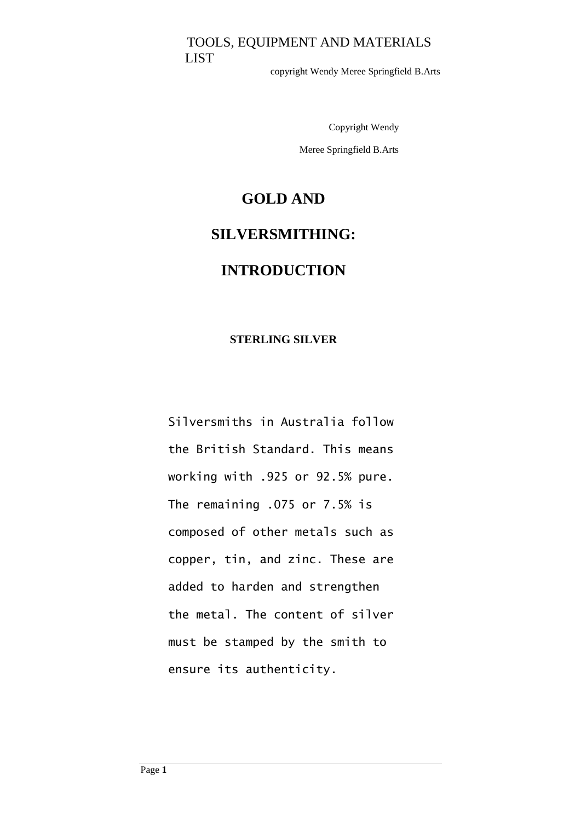copyright Wendy Meree Springfield B.Arts

Copyright Wendy Meree Springfield B.Arts

## **GOLD AND**

# **SILVERSMITHING:**

# **INTRODUCTION**

#### **STERLING SILVER**

Silversmiths in Australia follow the British Standard. This means working with .925 or 92.5% pure. The remaining .075 or 7.5% is composed of other metals such as copper, tin, and zinc. These are added to harden and strengthen the metal. The content of silver must be stamped by the smith to ensure its authenticity.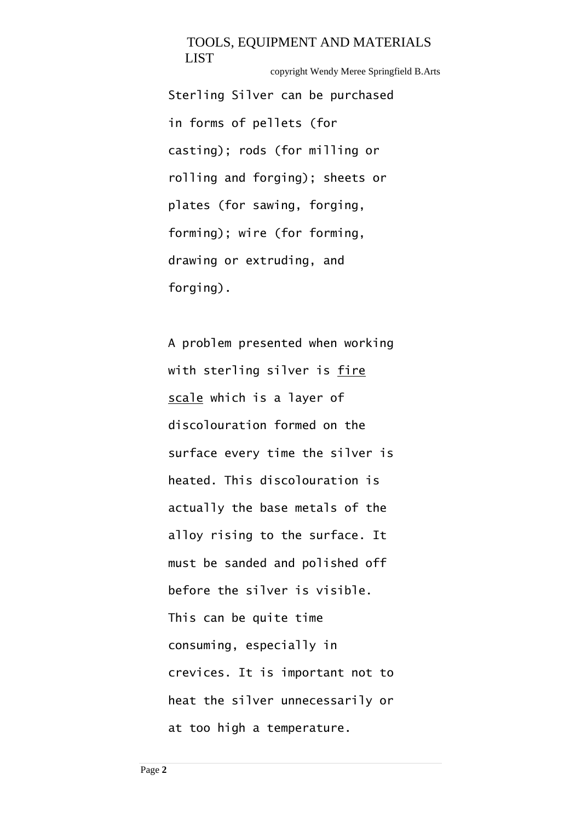copyright Wendy Meree Springfield B.Arts

Sterling Silver can be purchased in forms of pellets (for casting); rods (for milling or rolling and forging); sheets or plates (for sawing, forging, forming); wire (for forming, drawing or extruding, and forging).

A problem presented when working with sterling silver is fire scale which is a layer of discolouration formed on the surface every time the silver is heated. This discolouration is actually the base metals of the alloy rising to the surface. It must be sanded and polished off before the silver is visible. This can be quite time consuming, especially in crevices. It is important not to heat the silver unnecessarily or at too high a temperature.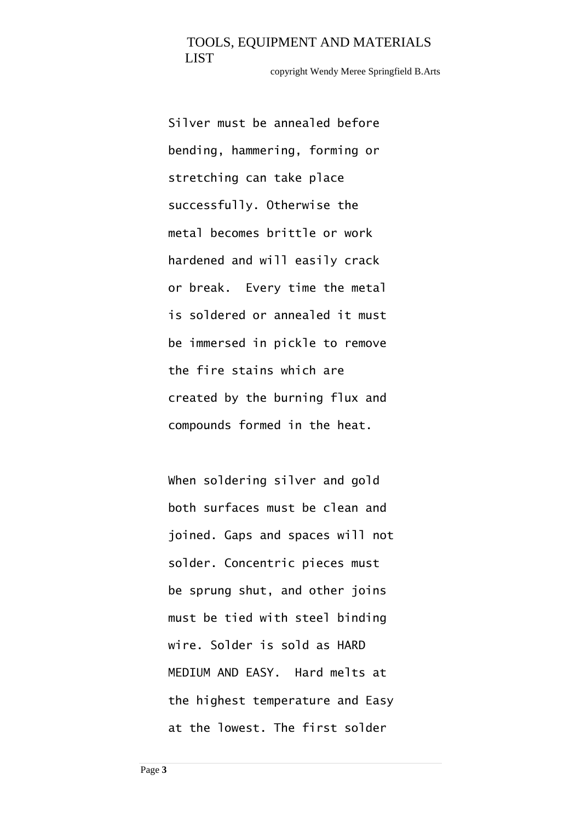copyright Wendy Meree Springfield B.Arts

Silver must be annealed before bending, hammering, forming or stretching can take place successfully. Otherwise the metal becomes brittle or work hardened and will easily crack or break. Every time the metal is soldered or annealed it must be immersed in pickle to remove the fire stains which are created by the burning flux and compounds formed in the heat.

When soldering silver and gold both surfaces must be clean and joined. Gaps and spaces will not solder. Concentric pieces must be sprung shut, and other joins must be tied with steel binding wire. Solder is sold as HARD MEDIUM AND EASY. Hard melts at the highest temperature and Easy at the lowest. The first solder